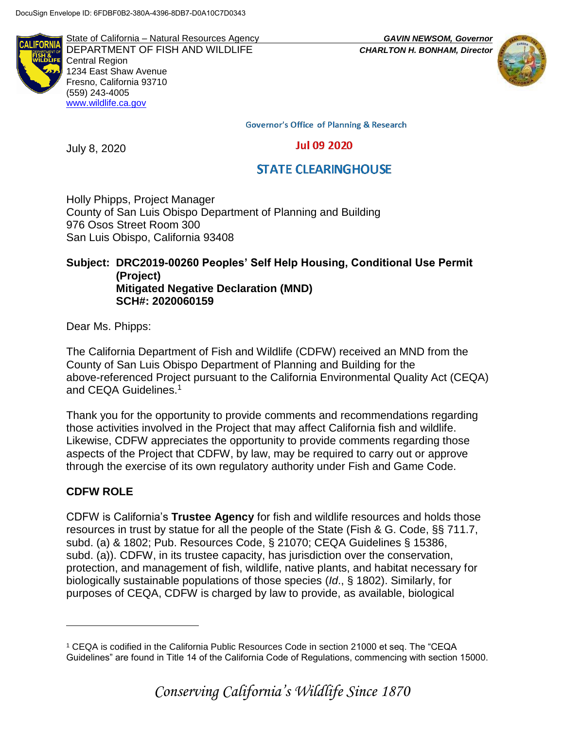**ALIFORN** 

State of California – Natural Resources Agency *GAVIN NEWSOM, Governor* DEPARTMENT OF FISH AND WILDLIFE *CHARLTON H. BONHAM, Director*  Central Region 1234 East Shaw Avenue Fresno, California 93710 (559) 243-4005 [www.wildlife.ca.gov](http://www.cdfw.ca.gov/)



**Governor's Office of Planning & Research** 

### **Jul 09 2020**

# **STATE CLEARINGHOUSE**

Holly Phipps, Project Manager County of San Luis Obispo Department of Planning and Building 976 Osos Street Room 300 San Luis Obispo, California 93408

### **Subject: DRC2019-00260 Peoples' Self Help Housing, Conditional Use Permit (Project) Mitigated Negative Declaration (MND) SCH#: 2020060159**

Dear Ms. Phipps:

July 8, 2020

The California Department of Fish and Wildlife (CDFW) received an MND from the County of San Luis Obispo Department of Planning and Building for the above-referenced Project pursuant to the California Environmental Quality Act (CEQA) and CEQA Guidelines.<sup>1</sup>

Thank you for the opportunity to provide comments and recommendations regarding those activities involved in the Project that may affect California fish and wildlife. Likewise, CDFW appreciates the opportunity to provide comments regarding those aspects of the Project that CDFW, by law, may be required to carry out or approve through the exercise of its own regulatory authority under Fish and Game Code.

# **CDFW ROLE**

 $\overline{a}$ 

CDFW is California's **Trustee Agency** for fish and wildlife resources and holds those resources in trust by statue for all the people of the State (Fish & G. Code, §§ 711.7, subd. (a) & 1802; Pub. Resources Code, § 21070; CEQA Guidelines § 15386, subd. (a)). CDFW, in its trustee capacity, has jurisdiction over the conservation, protection, and management of fish, wildlife, native plants, and habitat necessary for biologically sustainable populations of those species (*Id*., § 1802). Similarly, for purposes of CEQA, CDFW is charged by law to provide, as available, biological

<sup>1</sup> CEQA is codified in the California Public Resources Code in section 21000 et seq. The "CEQA Guidelines" are found in Title 14 of the California Code of Regulations, commencing with section 15000.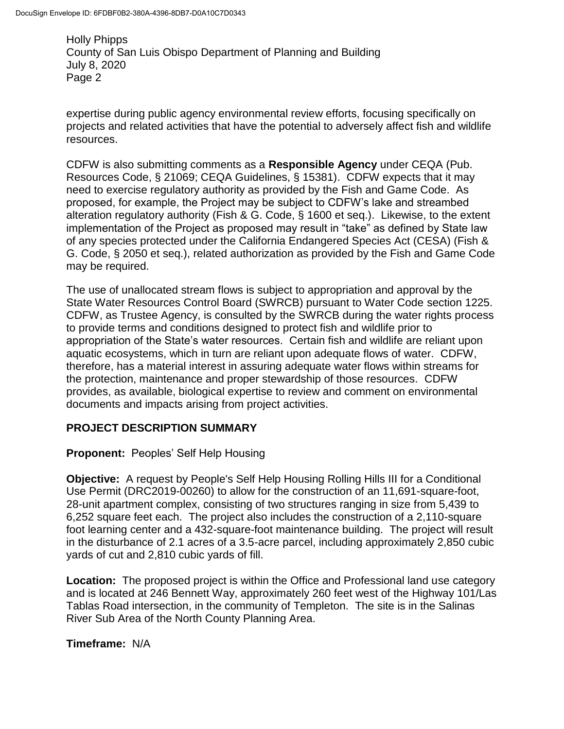expertise during public agency environmental review efforts, focusing specifically on projects and related activities that have the potential to adversely affect fish and wildlife resources.

CDFW is also submitting comments as a **Responsible Agency** under CEQA (Pub. Resources Code, § 21069; CEQA Guidelines, § 15381). CDFW expects that it may need to exercise regulatory authority as provided by the Fish and Game Code. As proposed, for example, the Project may be subject to CDFW's lake and streambed alteration regulatory authority (Fish & G. Code, § 1600 et seq.). Likewise, to the extent implementation of the Project as proposed may result in "take" as defined by State law of any species protected under the California Endangered Species Act (CESA) (Fish & G. Code, § 2050 et seq.), related authorization as provided by the Fish and Game Code may be required.

The use of unallocated stream flows is subject to appropriation and approval by the State Water Resources Control Board (SWRCB) pursuant to Water Code section 1225. CDFW, as Trustee Agency, is consulted by the SWRCB during the water rights process to provide terms and conditions designed to protect fish and wildlife prior to appropriation of the State's water resources. Certain fish and wildlife are reliant upon aquatic ecosystems, which in turn are reliant upon adequate flows of water. CDFW, therefore, has a material interest in assuring adequate water flows within streams for the protection, maintenance and proper stewardship of those resources. CDFW provides, as available, biological expertise to review and comment on environmental documents and impacts arising from project activities.

### **PROJECT DESCRIPTION SUMMARY**

**Proponent:** Peoples' Self Help Housing

**Objective:** A request by People's Self Help Housing Rolling Hills III for a Conditional Use Permit (DRC2019-00260) to allow for the construction of an 11,691-square-foot, 28-unit apartment complex, consisting of two structures ranging in size from 5,439 to 6,252 square feet each. The project also includes the construction of a 2,110-square foot learning center and a 432-square-foot maintenance building. The project will result in the disturbance of 2.1 acres of a 3.5-acre parcel, including approximately 2,850 cubic yards of cut and 2,810 cubic yards of fill.

**Location:** The proposed project is within the Office and Professional land use category and is located at 246 Bennett Way, approximately 260 feet west of the Highway 101/Las Tablas Road intersection, in the community of Templeton. The site is in the Salinas River Sub Area of the North County Planning Area.

**Timeframe:** N/A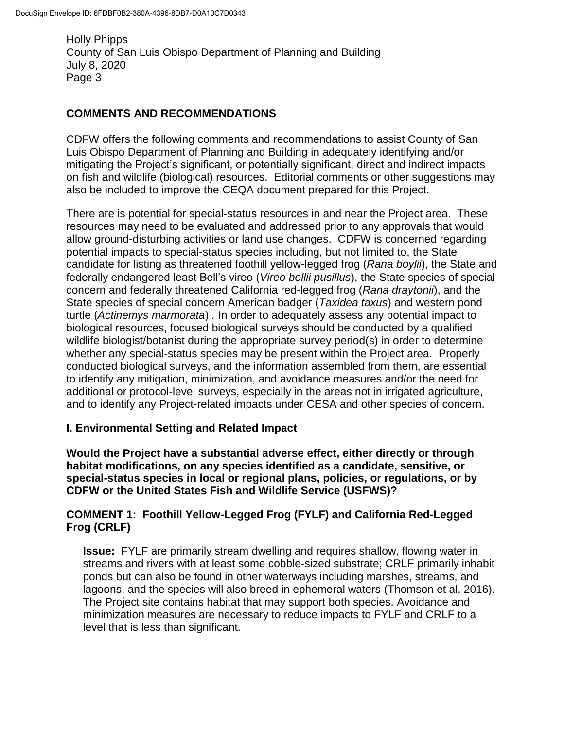## **COMMENTS AND RECOMMENDATIONS**

CDFW offers the following comments and recommendations to assist County of San Luis Obispo Department of Planning and Building in adequately identifying and/or mitigating the Project's significant, or potentially significant, direct and indirect impacts on fish and wildlife (biological) resources. Editorial comments or other suggestions may also be included to improve the CEQA document prepared for this Project.

There are is potential for special-status resources in and near the Project area. These resources may need to be evaluated and addressed prior to any approvals that would allow ground-disturbing activities or land use changes. CDFW is concerned regarding potential impacts to special-status species including, but not limited to, the State candidate for listing as threatened foothill yellow-legged frog (*Rana boylii*), the State and federally endangered least Bell's vireo (*Vireo bellii pusillus*), the State species of special concern and federally threatened California red-legged frog (*Rana draytonii*), and the State species of special concern American badger (*Taxidea taxus*) and western pond turtle (*Actinemys marmorata*) *.* In order to adequately assess any potential impact to biological resources, focused biological surveys should be conducted by a qualified wildlife biologist/botanist during the appropriate survey period(s) in order to determine whether any special-status species may be present within the Project area. Properly conducted biological surveys, and the information assembled from them, are essential to identify any mitigation, minimization, and avoidance measures and/or the need for additional or protocol-level surveys, especially in the areas not in irrigated agriculture, and to identify any Project-related impacts under CESA and other species of concern.

### **I. Environmental Setting and Related Impact**

**Would the Project have a substantial adverse effect, either directly or through habitat modifications, on any species identified as a candidate, sensitive, or special-status species in local or regional plans, policies, or regulations, or by CDFW or the United States Fish and Wildlife Service (USFWS)?**

# **COMMENT 1: Foothill Yellow-Legged Frog (FYLF) and California Red-Legged Frog (CRLF)**

**Issue:** FYLF are primarily stream dwelling and requires shallow, flowing water in streams and rivers with at least some cobble-sized substrate; CRLF primarily inhabit ponds but can also be found in other waterways including marshes, streams, and lagoons, and the species will also breed in ephemeral waters (Thomson et al. 2016). The Project site contains habitat that may support both species. Avoidance and minimization measures are necessary to reduce impacts to FYLF and CRLF to a level that is less than significant.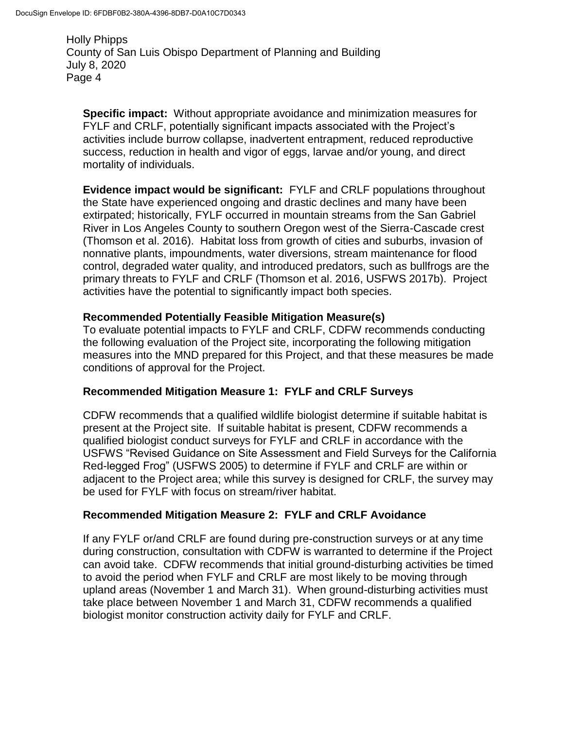**Specific impact:** Without appropriate avoidance and minimization measures for FYLF and CRLF, potentially significant impacts associated with the Project's activities include burrow collapse, inadvertent entrapment, reduced reproductive success, reduction in health and vigor of eggs, larvae and/or young, and direct mortality of individuals.

**Evidence impact would be significant:** FYLF and CRLF populations throughout the State have experienced ongoing and drastic declines and many have been extirpated; historically, FYLF occurred in mountain streams from the San Gabriel River in Los Angeles County to southern Oregon west of the Sierra-Cascade crest (Thomson et al. 2016). Habitat loss from growth of cities and suburbs, invasion of nonnative plants, impoundments, water diversions, stream maintenance for flood control, degraded water quality, and introduced predators, such as bullfrogs are the primary threats to FYLF and CRLF (Thomson et al. 2016, USFWS 2017b). Project activities have the potential to significantly impact both species.

### **Recommended Potentially Feasible Mitigation Measure(s)**

To evaluate potential impacts to FYLF and CRLF, CDFW recommends conducting the following evaluation of the Project site, incorporating the following mitigation measures into the MND prepared for this Project, and that these measures be made conditions of approval for the Project.

# **Recommended Mitigation Measure 1: FYLF and CRLF Surveys**

CDFW recommends that a qualified wildlife biologist determine if suitable habitat is present at the Project site. If suitable habitat is present, CDFW recommends a qualified biologist conduct surveys for FYLF and CRLF in accordance with the [USFWS](http://www.fws.gov/southwest/es/oklahoma/documents/te_species/wind%20power/usfws_interim_goea_monitoring_protocol_10march2010.pdf) "Revised Guidance on Site Assessment and Field Surveys for the California Red-legged Frog" (USFWS 2005) to determine if FYLF and CRLF are within or adjacent to the Project area; while this survey is designed for CRLF, the survey may be used for FYLF with focus on stream/river habitat.

# **Recommended Mitigation Measure 2: FYLF and CRLF Avoidance**

If any FYLF or/and CRLF are found during pre-construction surveys or at any time during construction, consultation with CDFW is warranted to determine if the Project can avoid take. CDFW recommends that initial ground-disturbing activities be timed to avoid the period when FYLF and CRLF are most likely to be moving through upland areas (November 1 and March 31). When ground-disturbing activities must take place between November 1 and March 31, CDFW recommends a qualified biologist monitor construction activity daily for FYLF and CRLF.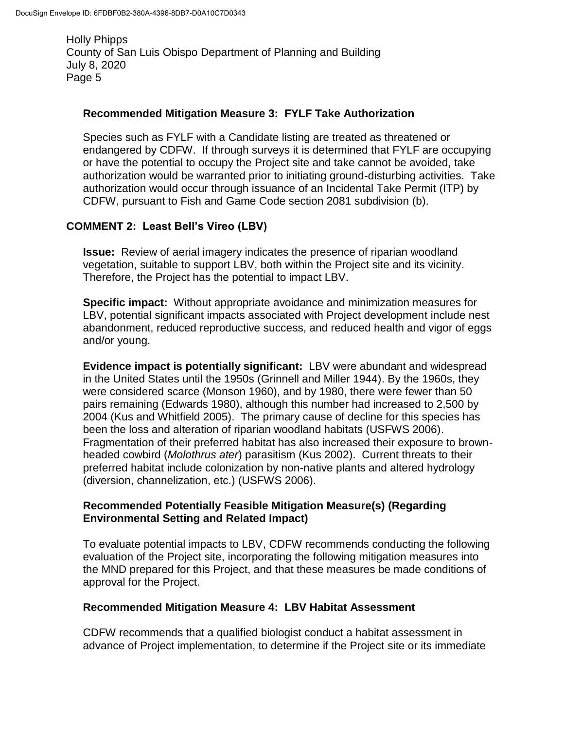### **Recommended Mitigation Measure 3: FYLF Take Authorization**

Species such as FYLF with a Candidate listing are treated as threatened or endangered by CDFW. If through surveys it is determined that FYLF are occupying or have the potential to occupy the Project site and take cannot be avoided, take authorization would be warranted prior to initiating ground-disturbing activities. Take authorization would occur through issuance of an Incidental Take Permit (ITP) by CDFW, pursuant to Fish and Game Code section 2081 subdivision (b).

### **COMMENT 2: Least Bell's Vireo (LBV)**

**Issue:** Review of aerial imagery indicates the presence of riparian woodland vegetation, suitable to support LBV, both within the Project site and its vicinity. Therefore, the Project has the potential to impact LBV.

**Specific impact:** Without appropriate avoidance and minimization measures for LBV, potential significant impacts associated with Project development include nest abandonment, reduced reproductive success, and reduced health and vigor of eggs and/or young.

**Evidence impact is potentially significant:** LBV were abundant and widespread in the United States until the 1950s (Grinnell and Miller 1944). By the 1960s, they were considered scarce (Monson 1960), and by 1980, there were fewer than 50 pairs remaining (Edwards 1980), although this number had increased to 2,500 by 2004 (Kus and Whitfield 2005). The primary cause of decline for this species has been the loss and alteration of riparian woodland habitats (USFWS 2006). Fragmentation of their preferred habitat has also increased their exposure to brownheaded cowbird (*Molothrus ater*) parasitism (Kus 2002). Current threats to their preferred habitat include colonization by non-native plants and altered hydrology (diversion, channelization, etc.) (USFWS 2006).

### **Recommended Potentially Feasible Mitigation Measure(s) (Regarding Environmental Setting and Related Impact)**

To evaluate potential impacts to LBV, CDFW recommends conducting the following evaluation of the Project site, incorporating the following mitigation measures into the MND prepared for this Project, and that these measures be made conditions of approval for the Project.

### **Recommended Mitigation Measure 4: LBV Habitat Assessment**

CDFW recommends that a qualified biologist conduct a habitat assessment in advance of Project implementation, to determine if the Project site or its immediate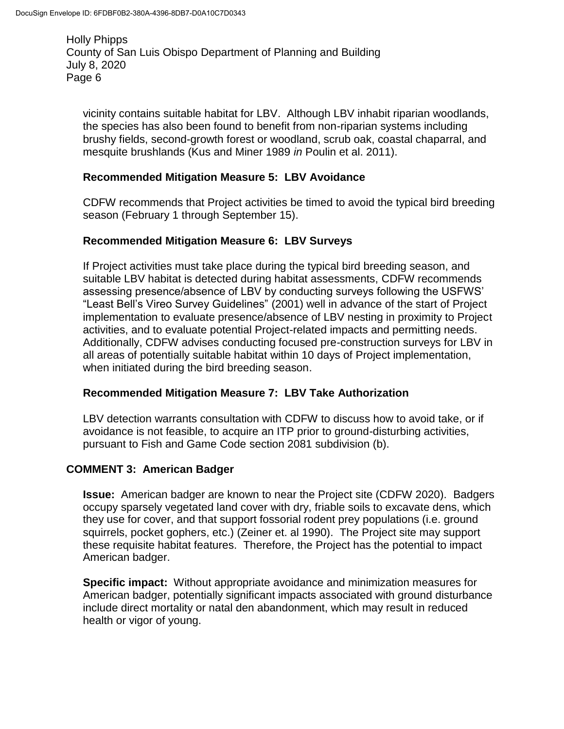vicinity contains suitable habitat for LBV. Although LBV inhabit riparian woodlands, the species has also been found to benefit from non-riparian systems including brushy fields, second-growth forest or woodland, scrub oak, coastal chaparral, and mesquite brushlands (Kus and Miner 1989 *in* Poulin et al. 2011).

### **Recommended Mitigation Measure 5: LBV Avoidance**

CDFW recommends that Project activities be timed to avoid the typical bird breeding season (February 1 through September 15).

### **Recommended Mitigation Measure 6: LBV Surveys**

If Project activities must take place during the typical bird breeding season, and suitable LBV habitat is detected during habitat assessments, CDFW recommends assessing presence/absence of LBV by conducting surveys following the USFWS' "Least Bell's Vireo Survey Guidelines" (2001) well in advance of the start of Project implementation to evaluate presence/absence of LBV nesting in proximity to Project activities, and to evaluate potential Project-related impacts and permitting needs. Additionally, CDFW advises conducting focused pre-construction surveys for LBV in all areas of potentially suitable habitat within 10 days of Project implementation, when initiated during the bird breeding season.

### **Recommended Mitigation Measure 7: LBV Take Authorization**

LBV detection warrants consultation with CDFW to discuss how to avoid take, or if avoidance is not feasible, to acquire an ITP prior to ground-disturbing activities, pursuant to Fish and Game Code section 2081 subdivision (b).

#### **COMMENT 3: American Badger**

**Issue:** American badger are known to near the Project site (CDFW 2020). Badgers occupy sparsely vegetated land cover with dry, friable soils to excavate dens, which they use for cover, and that support fossorial rodent prey populations (i.e. ground squirrels, pocket gophers, etc.) (Zeiner et. al 1990). The Project site may support these requisite habitat features. Therefore, the Project has the potential to impact American badger.

**Specific impact:** Without appropriate avoidance and minimization measures for American badger, potentially significant impacts associated with ground disturbance include direct mortality or natal den abandonment, which may result in reduced health or vigor of young.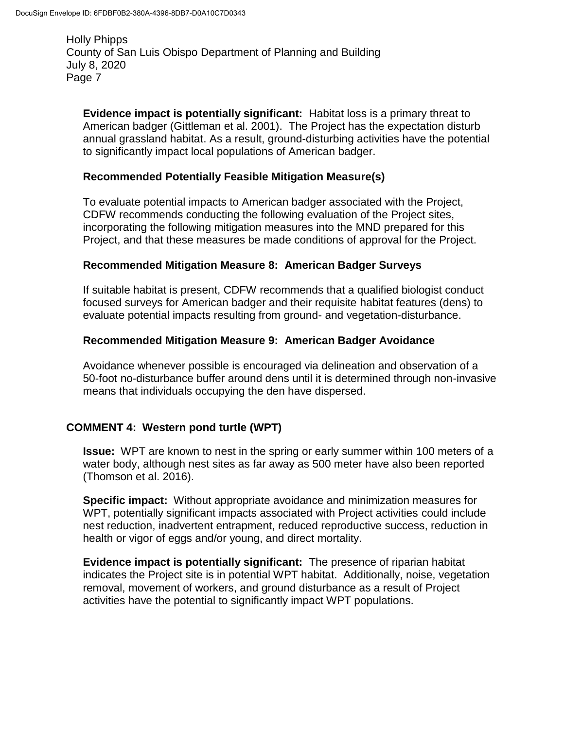**Evidence impact is potentially significant:** Habitat loss is a primary threat to American badger (Gittleman et al. 2001). The Project has the expectation disturb annual grassland habitat. As a result, ground-disturbing activities have the potential to significantly impact local populations of American badger.

#### **Recommended Potentially Feasible Mitigation Measure(s)**

To evaluate potential impacts to American badger associated with the Project, CDFW recommends conducting the following evaluation of the Project sites, incorporating the following mitigation measures into the MND prepared for this Project, and that these measures be made conditions of approval for the Project.

#### **Recommended Mitigation Measure 8: American Badger Surveys**

If suitable habitat is present, CDFW recommends that a qualified biologist conduct focused surveys for American badger and their requisite habitat features (dens) to evaluate potential impacts resulting from ground- and vegetation-disturbance.

#### **Recommended Mitigation Measure 9: American Badger Avoidance**

Avoidance whenever possible is encouraged via delineation and observation of a 50-foot no-disturbance buffer around dens until it is determined through non-invasive means that individuals occupying the den have dispersed.

### **COMMENT 4: Western pond turtle (WPT)**

**Issue:** WPT are known to nest in the spring or early summer within 100 meters of a water body, although nest sites as far away as 500 meter have also been reported (Thomson et al. 2016).

**Specific impact:** Without appropriate avoidance and minimization measures for WPT, potentially significant impacts associated with Project activities could include nest reduction, inadvertent entrapment, reduced reproductive success, reduction in health or vigor of eggs and/or young, and direct mortality.

**Evidence impact is potentially significant:** The presence of riparian habitat indicates the Project site is in potential WPT habitat. Additionally, noise, vegetation removal, movement of workers, and ground disturbance as a result of Project activities have the potential to significantly impact WPT populations.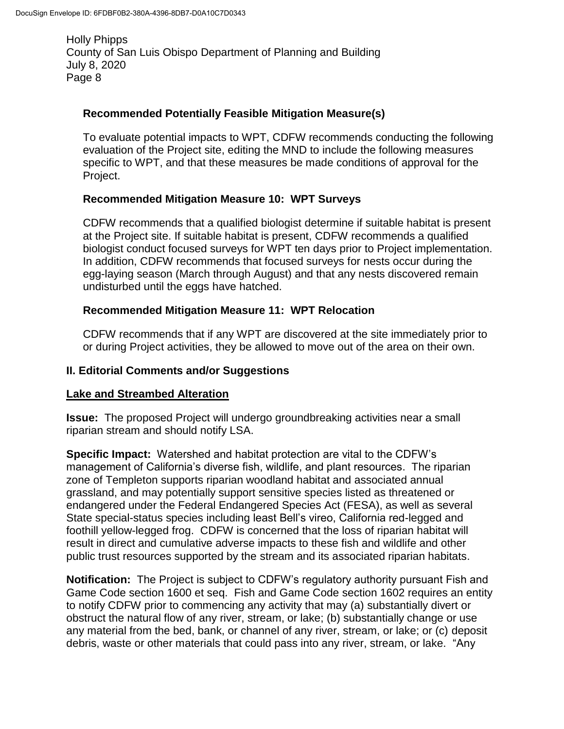### **Recommended Potentially Feasible Mitigation Measure(s)**

To evaluate potential impacts to WPT, CDFW recommends conducting the following evaluation of the Project site, editing the MND to include the following measures specific to WPT, and that these measures be made conditions of approval for the Project.

### **Recommended Mitigation Measure 10: WPT Surveys**

CDFW recommends that a qualified biologist determine if suitable habitat is present at the Project site. If suitable habitat is present, CDFW recommends a qualified biologist conduct focused surveys for WPT ten days prior to Project implementation. In addition, CDFW recommends that focused surveys for nests occur during the egg-laying season (March through August) and that any nests discovered remain undisturbed until the eggs have hatched.

## **Recommended Mitigation Measure 11: WPT Relocation**

CDFW recommends that if any WPT are discovered at the site immediately prior to or during Project activities, they be allowed to move out of the area on their own.

### **II. Editorial Comments and/or Suggestions**

### **Lake and Streambed Alteration**

**Issue:** The proposed Project will undergo groundbreaking activities near a small riparian stream and should notify LSA.

**Specific Impact:** Watershed and habitat protection are vital to the CDFW's management of California's diverse fish, wildlife, and plant resources. The riparian zone of Templeton supports riparian woodland habitat and associated annual grassland, and may potentially support sensitive species listed as threatened or endangered under the Federal Endangered Species Act (FESA), as well as several State special-status species including least Bell's vireo, California red-legged and foothill yellow-legged frog. CDFW is concerned that the loss of riparian habitat will result in direct and cumulative adverse impacts to these fish and wildlife and other public trust resources supported by the stream and its associated riparian habitats.

**Notification:** The Project is subject to CDFW's regulatory authority pursuant Fish and Game Code section 1600 et seq. Fish and Game Code section 1602 requires an entity to notify CDFW prior to commencing any activity that may (a) substantially divert or obstruct the natural flow of any river, stream, or lake; (b) substantially change or use any material from the bed, bank, or channel of any river, stream, or lake; or (c) deposit debris, waste or other materials that could pass into any river, stream, or lake. "Any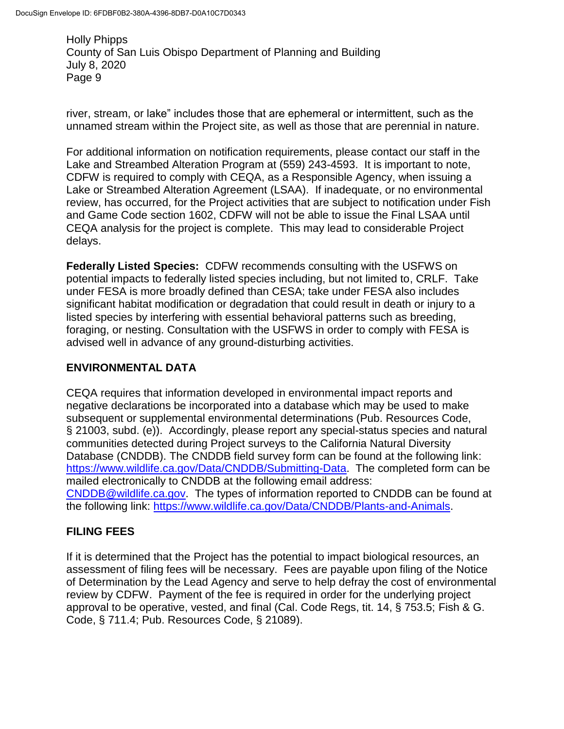river, stream, or lake" includes those that are ephemeral or intermittent, such as the unnamed stream within the Project site, as well as those that are perennial in nature.

For additional information on notification requirements, please contact our staff in the Lake and Streambed Alteration Program at (559) 243-4593. It is important to note, CDFW is required to comply with CEQA, as a Responsible Agency, when issuing a Lake or Streambed Alteration Agreement (LSAA). If inadequate, or no environmental review, has occurred, for the Project activities that are subject to notification under Fish and Game Code section 1602, CDFW will not be able to issue the Final LSAA until CEQA analysis for the project is complete. This may lead to considerable Project delays.

**Federally Listed Species:** CDFW recommends consulting with the USFWS on potential impacts to federally listed species including, but not limited to, CRLF. Take under FESA is more broadly defined than CESA; take under FESA also includes significant habitat modification or degradation that could result in death or injury to a listed species by interfering with essential behavioral patterns such as breeding, foraging, or nesting. Consultation with the USFWS in order to comply with FESA is advised well in advance of any ground-disturbing activities.

# **ENVIRONMENTAL DATA**

CEQA requires that information developed in environmental impact reports and negative declarations be incorporated into a database which may be used to make subsequent or supplemental environmental determinations (Pub. Resources Code, § 21003, subd. (e)). Accordingly, please report any special-status species and natural communities detected during Project surveys to the California Natural Diversity Database (CNDDB). The CNDDB field survey form can be found at the following link: [https://www.wildlife.ca.gov/Data/CNDDB/Submitting-Data.](https://www.wildlife.ca.gov/Data/CNDDB/Submitting-Data) The completed form can be mailed electronically to CNDDB at the following email address: [CNDDB@wildlife.ca.gov.](mailto:CNDDB@wildlife.ca.gov) The types of information reported to CNDDB can be found at the following link: [https://www.wildlife.ca.gov/Data/CNDDB/Plants-and-Animals.](https://www.wildlife.ca.gov/Data/CNDDB/Plants-and-Animals)

# **FILING FEES**

If it is determined that the Project has the potential to impact biological resources, an assessment of filing fees will be necessary. Fees are payable upon filing of the Notice of Determination by the Lead Agency and serve to help defray the cost of environmental review by CDFW. Payment of the fee is required in order for the underlying project approval to be operative, vested, and final (Cal. Code Regs, tit. 14, § 753.5; Fish & G. Code, § 711.4; Pub. Resources Code, § 21089).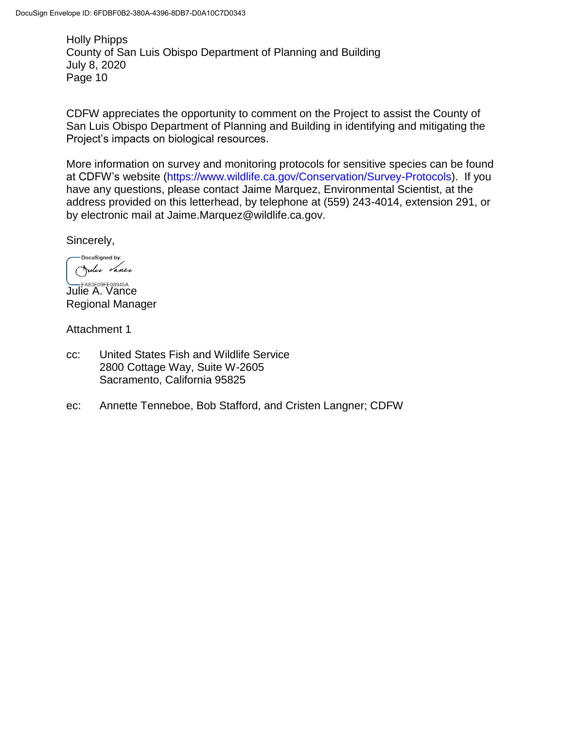CDFW appreciates the opportunity to comment on the Project to assist the County of San Luis Obispo Department of Planning and Building in identifying and mitigating the Project's impacts on biological resources.

More information on survey and monitoring protocols for sensitive species can be found at CDFW's website [\(https://www.wildlife.ca.gov/Conservation/Survey-Protocols\)](https://www.wildlife.ca.gov/Conservation/Survey-Protocols). If you have any questions, please contact Jaime Marquez, Environmental Scientist, at the address provided on this letterhead, by telephone at (559) 243-4014, extension 291, or by electronic mail at Jaime.Marquez@wildlife.ca.gov.

Sincerely,

DocuSigned by: Julie Vance

**Julie A. Vance** Regional Manager

Attachment 1

- cc: United States Fish and Wildlife Service 2800 Cottage Way, Suite W-2605 Sacramento, California 95825
- ec: Annette Tenneboe, Bob Stafford, and Cristen Langner; CDFW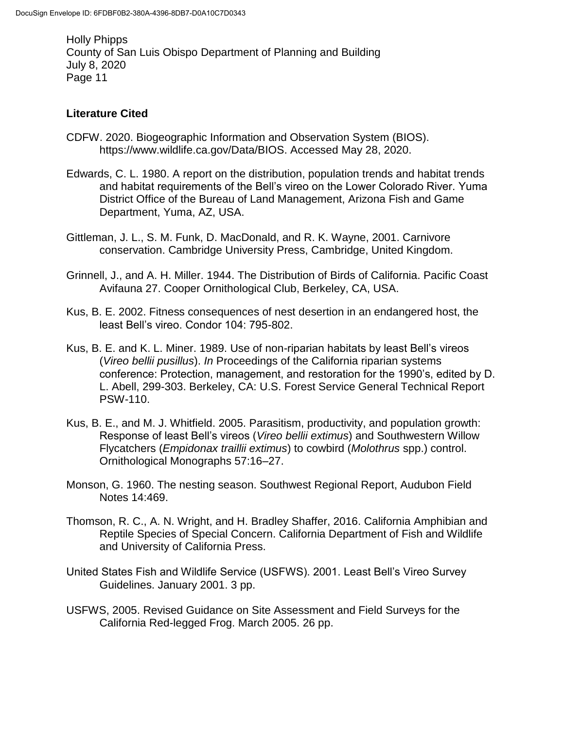## **Literature Cited**

- CDFW. 2020. Biogeographic Information and Observation System (BIOS). https://www.wildlife.ca.gov/Data/BIOS. Accessed May 28, 2020.
- Edwards, C. L. 1980. A report on the distribution, population trends and habitat trends and habitat requirements of the Bell's vireo on the Lower Colorado River. Yuma District Office of the Bureau of Land Management, Arizona Fish and Game Department, Yuma, AZ, USA.
- Gittleman, J. L., S. M. Funk, D. MacDonald, and R. K. Wayne, 2001. Carnivore conservation. Cambridge University Press, Cambridge, United Kingdom.
- Grinnell, J., and A. H. Miller. 1944. The Distribution of Birds of California. Pacific Coast Avifauna 27. Cooper Ornithological Club, Berkeley, CA, USA.
- Kus, B. E. 2002. Fitness consequences of nest desertion in an endangered host, the least Bell's vireo. Condor 104: 795-802.
- Kus, B. E. and K. L. Miner. 1989. Use of non-riparian habitats by least Bell's vireos (*Vireo bellii pusillus*). *In* Proceedings of the California riparian systems conference: Protection, management, and restoration for the 1990's, edited by D. L. Abell, 299-303. Berkeley, CA: U.S. Forest Service General Technical Report PSW-110.
- Kus, B. E., and M. J. Whitfield. 2005. Parasitism, productivity, and population growth: Response of least Bell's vireos (*Vireo bellii extimus*) and Southwestern Willow Flycatchers (*Empidonax traillii extimus*) to cowbird (*Molothrus* spp.) control. Ornithological Monographs 57:16–27.
- Monson, G. 1960. The nesting season. Southwest Regional Report, Audubon Field Notes 14:469.
- Thomson, R. C., A. N. Wright, and H. Bradley Shaffer, 2016. California Amphibian and Reptile Species of Special Concern. California Department of Fish and Wildlife and University of California Press.
- United States Fish and Wildlife Service (USFWS). 2001. Least Bell's Vireo Survey Guidelines. January 2001. 3 pp.
- [USFWS,](http://www.fws.gov/southwest/es/oklahoma/documents/te_species/wind%20power/usfws_interim_goea_monitoring_protocol_10march2010.pdf) 2005. Revised Guidance on Site Assessment and Field Surveys for the California Red-legged Frog. March 2005. 26 pp.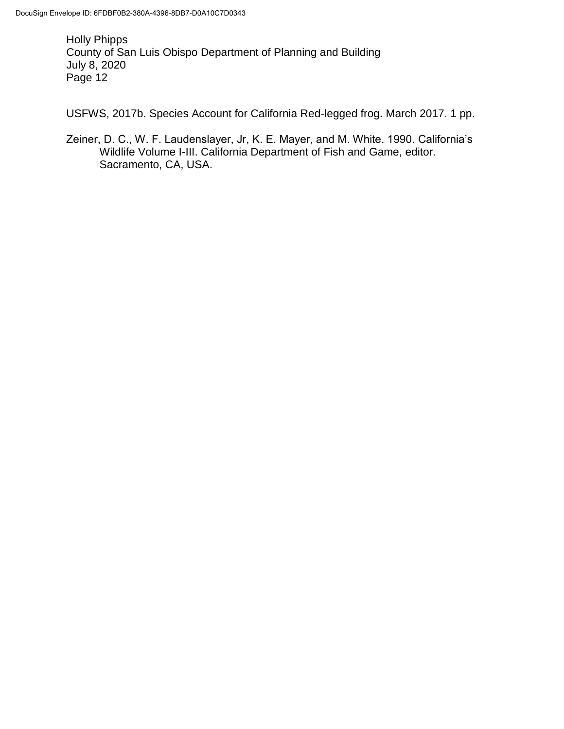USFWS, 2017b. Species Account for California Red-legged frog. March 2017. 1 pp.

Zeiner, D. C., W. F. Laudenslayer, Jr, K. E. Mayer, and M. White. 1990. California's Wildlife Volume I-III. California Department of Fish and Game, editor. Sacramento, CA, USA.